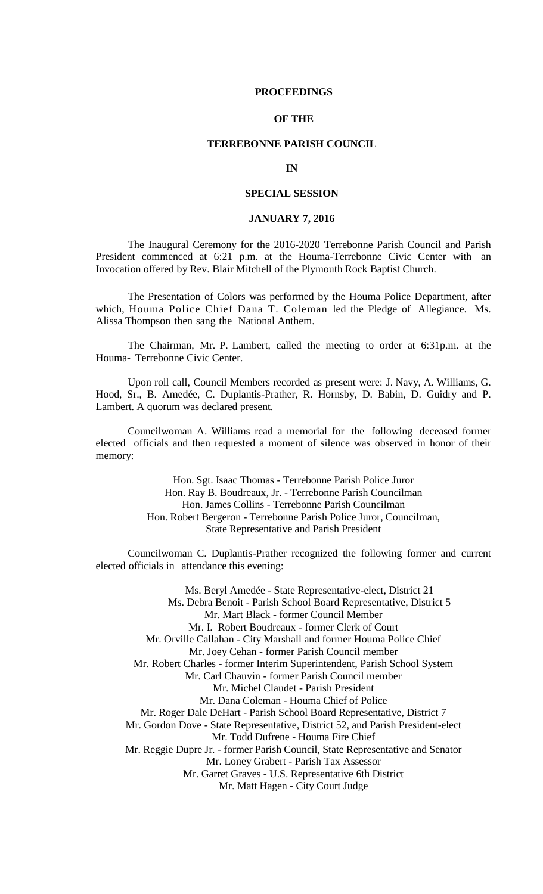### **PROCEEDINGS**

## **OF THE**

## **TERREBONNE PARISH COUNCIL**

#### **IN**

## **SPECIAL SESSION**

## **JANUARY 7, 2016**

The Inaugural Ceremony for the 2016-2020 Terrebonne Parish Council and Parish President commenced at 6:21 p.m. at the Houma-Terrebonne Civic Center with an Invocation offered by Rev. Blair Mitchell of the Plymouth Rock Baptist Church.

The Presentation of Colors was performed by the Houma Police Department, after which, Houma Police Chief Dana T. Coleman led the Pledge of Allegiance. Ms. Alissa Thompson then sang the National Anthem.

The Chairman, Mr. P. Lambert, called the meeting to order at 6:31p.m. at the Houma- Terrebonne Civic Center.

Upon roll call, Council Members recorded as present were: J. Navy, A. Williams, G. Hood, Sr., B. Amedée, C. Duplantis-Prather, R. Hornsby, D. Babin, D. Guidry and P. Lambert. A quorum was declared present.

Councilwoman A. Williams read a memorial for the following deceased former elected officials and then requested a moment of silence was observed in honor of their memory:

> Hon. Sgt. Isaac Thomas - Terrebonne Parish Police Juror Hon. Ray B. Boudreaux, Jr. - Terrebonne Parish Councilman Hon. James Collins - Terrebonne Parish Councilman Hon. Robert Bergeron - Terrebonne Parish Police Juror, Councilman, State Representative and Parish President

Councilwoman C. Duplantis-Prather recognized the following former and current elected officials in attendance this evening:

Ms. Beryl Amedée - State Representative-elect, District 21 Ms. Debra Benoit - Parish School Board Representative, District 5 Mr. Mart Black - former Council Member Mr. I. Robert Boudreaux - former Clerk of Court Mr. Orville Callahan - City Marshall and former Houma Police Chief Mr. Joey Cehan - former Parish Council member Mr. Robert Charles - former Interim Superintendent, Parish School System Mr. Carl Chauvin - former Parish Council member Mr. Michel Claudet - Parish President Mr. Dana Coleman - Houma Chief of Police Mr. Roger Dale DeHart - Parish School Board Representative, District 7 Mr. Gordon Dove - State Representative, District 52, and Parish President-elect Mr. Todd Dufrene - Houma Fire Chief Mr. Reggie Dupre Jr. - former Parish Council, State Representative and Senator Mr. Loney Grabert - Parish Tax Assessor Mr. Garret Graves - U.S. Representative 6th District

Mr. Matt Hagen - City Court Judge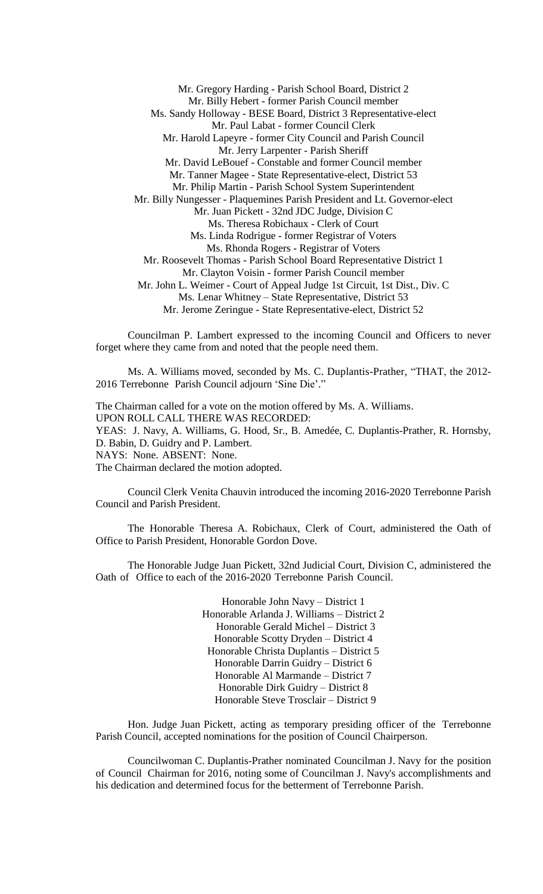Mr. Gregory Harding - Parish School Board, District 2 Mr. Billy Hebert - former Parish Council member Ms. Sandy Holloway - BESE Board, District 3 Representative-elect Mr. Paul Labat - former Council Clerk Mr. Harold Lapeyre - former City Council and Parish Council Mr. Jerry Larpenter - Parish Sheriff Mr. David LeBouef - Constable and former Council member Mr. Tanner Magee - State Representative-elect, District 53 Mr. Philip Martin - Parish School System Superintendent Mr. Billy Nungesser - Plaquemines Parish President and Lt. Governor-elect Mr. Juan Pickett - 32nd JDC Judge, Division C Ms. Theresa Robichaux - Clerk of Court Ms. Linda Rodrigue - former Registrar of Voters Ms. Rhonda Rogers - Registrar of Voters Mr. Roosevelt Thomas - Parish School Board Representative District 1 Mr. Clayton Voisin - former Parish Council member Mr. John L. Weimer - Court of Appeal Judge 1st Circuit, 1st Dist., Div. C Ms. Lenar Whitney – State Representative, District 53 Mr. Jerome Zeringue - State Representative-elect, District 52

Councilman P. Lambert expressed to the incoming Council and Officers to never forget where they came from and noted that the people need them.

Ms. A. Williams moved, seconded by Ms. C. Duplantis-Prather, "THAT, the 2012- 2016 Terrebonne Parish Council adjourn 'Sine Die'."

The Chairman called for a vote on the motion offered by Ms. A. Williams. UPON ROLL CALL THERE WAS RECORDED: YEAS: J. Navy, A. Williams, G. Hood, Sr., B. Amedée, C. Duplantis-Prather, R. Hornsby, D. Babin, D. Guidry and P. Lambert. NAYS: None. ABSENT: None. The Chairman declared the motion adopted.

Council Clerk Venita Chauvin introduced the incoming 2016-2020 Terrebonne Parish Council and Parish President.

The Honorable Theresa A. Robichaux, Clerk of Court, administered the Oath of Office to Parish President, Honorable Gordon Dove.

The Honorable Judge Juan Pickett, 32nd Judicial Court, Division C, administered the Oath of Office to each of the 2016-2020 Terrebonne Parish Council.

> Honorable John Navy – District 1 Honorable Arlanda J. Williams – District 2 Honorable Gerald Michel – District 3 Honorable Scotty Dryden – District 4 Honorable Christa Duplantis – District 5 Honorable Darrin Guidry – District 6 Honorable Al Marmande – District 7 Honorable Dirk Guidry – District 8 Honorable Steve Trosclair – District 9

Hon. Judge Juan Pickett, acting as temporary presiding officer of the Terrebonne Parish Council, accepted nominations for the position of Council Chairperson.

Councilwoman C. Duplantis-Prather nominated Councilman J. Navy for the position of Council Chairman for 2016, noting some of Councilman J. Navy's accomplishments and his dedication and determined focus for the betterment of Terrebonne Parish.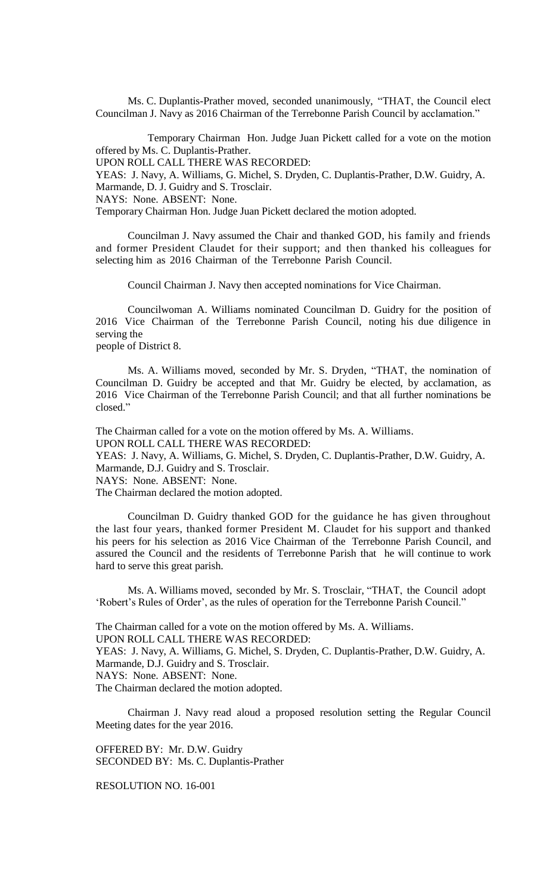Ms. C. Duplantis-Prather moved, seconded unanimously, "THAT, the Council elect Councilman J. Navy as 2016 Chairman of the Terrebonne Parish Council by acclamation."

Temporary Chairman Hon. Judge Juan Pickett called for a vote on the motion offered by Ms. C. Duplantis-Prather.

UPON ROLL CALL THERE WAS RECORDED:

YEAS: J. Navy, A. Williams, G. Michel, S. Dryden, C. Duplantis-Prather, D.W. Guidry, A. Marmande, D. J. Guidry and S. Trosclair.

NAYS: None. ABSENT: None.

Temporary Chairman Hon. Judge Juan Pickett declared the motion adopted.

Councilman J. Navy assumed the Chair and thanked GOD, his family and friends and former President Claudet for their support; and then thanked his colleagues for selecting him as 2016 Chairman of the Terrebonne Parish Council.

Council Chairman J. Navy then accepted nominations for Vice Chairman.

Councilwoman A. Williams nominated Councilman D. Guidry for the position of 2016 Vice Chairman of the Terrebonne Parish Council, noting his due diligence in serving the people of District 8.

Ms. A. Williams moved, seconded by Mr. S. Dryden, "THAT, the nomination of Councilman D. Guidry be accepted and that Mr. Guidry be elected, by acclamation, as 2016 Vice Chairman of the Terrebonne Parish Council; and that all further nominations be closed."

The Chairman called for a vote on the motion offered by Ms. A. Williams.

UPON ROLL CALL THERE WAS RECORDED:

YEAS: J. Navy, A. Williams, G. Michel, S. Dryden, C. Duplantis-Prather, D.W. Guidry, A. Marmande, D.J. Guidry and S. Trosclair.

NAYS: None. ABSENT: None.

The Chairman declared the motion adopted.

Councilman D. Guidry thanked GOD for the guidance he has given throughout the last four years, thanked former President M. Claudet for his support and thanked his peers for his selection as 2016 Vice Chairman of the Terrebonne Parish Council, and assured the Council and the residents of Terrebonne Parish that he will continue to work hard to serve this great parish.

Ms. A. Williams moved, seconded by Mr. S. Trosclair, "THAT, the Council adopt 'Robert's Rules of Order', as the rules of operation for the Terrebonne Parish Council."

The Chairman called for a vote on the motion offered by Ms. A. Williams. UPON ROLL CALL THERE WAS RECORDED:

YEAS: J. Navy, A. Williams, G. Michel, S. Dryden, C. Duplantis-Prather, D.W. Guidry, A. Marmande, D.J. Guidry and S. Trosclair.

NAYS: None. ABSENT: None.

The Chairman declared the motion adopted.

Chairman J. Navy read aloud a proposed resolution setting the Regular Council Meeting dates for the year 2016.

OFFERED BY: Mr. D.W. Guidry SECONDED BY: Ms. C. Duplantis-Prather

RESOLUTION NO. 16-001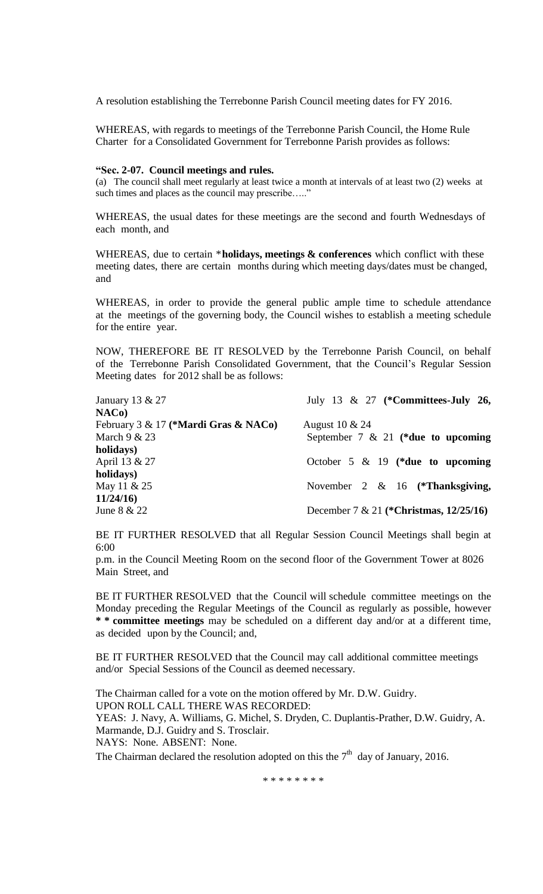A resolution establishing the Terrebonne Parish Council meeting dates for FY 2016.

WHEREAS, with regards to meetings of the Terrebonne Parish Council, the Home Rule Charter for a Consolidated Government for Terrebonne Parish provides as follows:

## **"Sec. 2-07. Council meetings and rules.**

(a) The council shall meet regularly at least twice a month at intervals of at least two (2) weeks at such times and places as the council may prescribe....."

WHEREAS, the usual dates for these meetings are the second and fourth Wednesdays of each month, and

WHEREAS, due to certain \***holidays, meetings & conferences** which conflict with these meeting dates, there are certain months during which meeting days/dates must be changed, and

WHEREAS, in order to provide the general public ample time to schedule attendance at the meetings of the governing body, the Council wishes to establish a meeting schedule for the entire year.

NOW, THEREFORE BE IT RESOLVED by the Terrebonne Parish Council, on behalf of the Terrebonne Parish Consolidated Government, that the Council's Regular Session Meeting dates for 2012 shall be as follows:

| July 13 & 27 (*Committees-July 26,        |
|-------------------------------------------|
|                                           |
| August 10 & 24                            |
| September 7 $\&$ 21 (*due to upcoming     |
|                                           |
| October 5 $\&$ 19 (*due to upcoming       |
|                                           |
| November 2 $\&$ 16 (*Thanksgiving,        |
|                                           |
| December 7 & 21 (*Christmas, $12/25/16$ ) |
|                                           |

BE IT FURTHER RESOLVED that all Regular Session Council Meetings shall begin at 6:00

p.m. in the Council Meeting Room on the second floor of the Government Tower at 8026 Main Street, and

BE IT FURTHER RESOLVED that the Council will schedule committee meetings on the Monday preceding the Regular Meetings of the Council as regularly as possible, however **\* \* committee meetings** may be scheduled on a different day and/or at a different time, as decided upon by the Council; and,

BE IT FURTHER RESOLVED that the Council may call additional committee meetings and/or Special Sessions of the Council as deemed necessary.

The Chairman called for a vote on the motion offered by Mr. D.W. Guidry. UPON ROLL CALL THERE WAS RECORDED: YEAS: J. Navy, A. Williams, G. Michel, S. Dryden, C. Duplantis-Prather, D.W. Guidry, A. Marmande, D.J. Guidry and S. Trosclair. NAYS: None. ABSENT: None.

The Chairman declared the resolution adopted on this the  $7<sup>th</sup>$  day of January, 2016.

\* \* \* \* \* \* \* \*